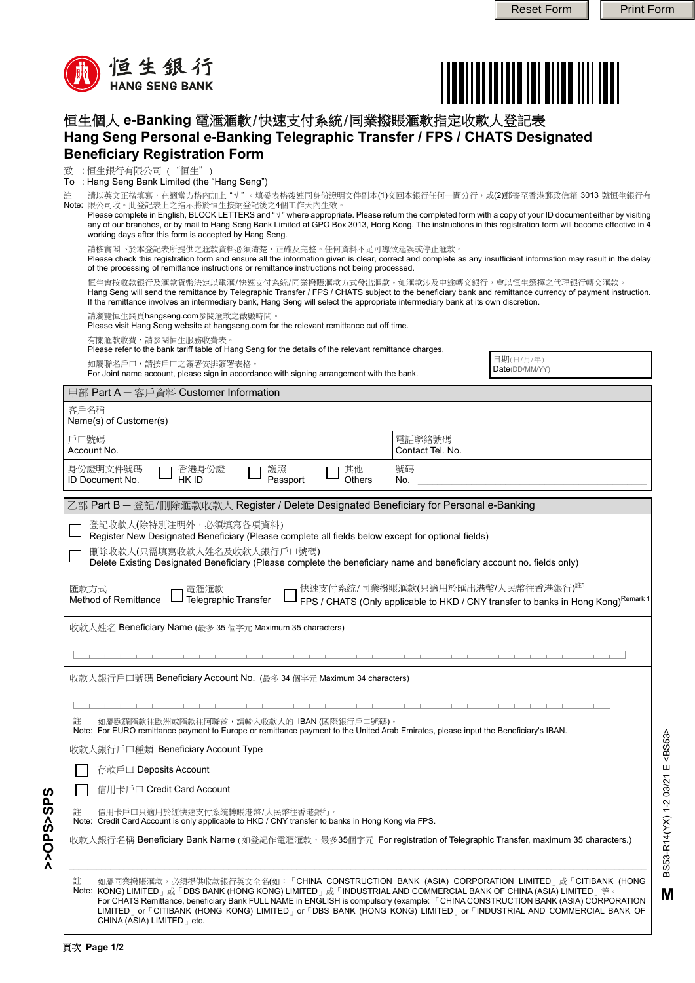



## 恒生個人 **e-Banking** 電滙滙款/快速支付系統/同業撥賬滙款指定收款人登記表 **Hang Seng Personal e-Banking Telegraphic Transfer / FPS / CHATS Designated Beneficiary Registration Form**

致 :恒生銀行有限公司 ("恒生")

: Hang Seng Bank Limited (the "Hang Seng") To

請以英文正楷填寫,在適當方格內加上"√"。填妥表格後連同身份證明文件副本(1)交回本銀行任何一間分行,或(2)郵寄至香港郵政信箱 3013 號恒生銀行有 Note: 限公司收。此登記表上之指示將於恒生接納登記後之4個工作天內生效。 註

| Please complete in English, BLOCK LETTERS and " $\sqrt{ }$ " where appropriate. Please return the completed form with a copy of your ID document either by visiting |
|---------------------------------------------------------------------------------------------------------------------------------------------------------------------|
| any of our branches, or by mail to Hang Seng Bank Limited at GPO Box 3013, Hong Kong. The instructions in this registration form will become effective in 4         |
| working days after this form is accepted by Hang Seng.                                                                                                              |

請核實閣下於本登記表所提供之滙款資料必須清楚、正確及完整。任何資料不足可導致延誤或停止滙款。

Please check this registration form and ensure all the information given is clear, correct and complete as any insufficient information may result in the delay of the processing of remittance instructions or remittance instructions not being processed.

恒生會按收款銀行及滙款貨幣決定以電滙/快速支付系統/同業撥賬滙款方式發出滙款。如滙款涉及中途轉交銀行,會以恒生選擇之代理銀行轉交滙款。 Hang Seng will send the remittance by Telegraphic Transfer / FPS / CHATS subject to the beneficiary bank and remittance currency of payment instruction.

If the remittance involves an intermediary bank, Hang Seng will select the appropriate intermediary bank at its own discretion.

請瀏覽恒生網頁hangseng.com参閱滙款之截數時間。

Please visit Hang Seng website at hangseng.com for the relevant remittance cut off time.

有關滙款收費,請参閱恒生服務收費表。

Please refer to the bank tariff table of Hang Seng for the details of the relevant remittance charges.

如屬聯名戶口,請按戶口之簽署安排簽署表格。

For Joint name account, please sign in accordance with signing arrangement with the bank.

日期(日/月/年) Date(DD/MM/YY)

| 甲部 Part A - 客戶資料 Customer Information                                                                                                                                                                                                                                                                                                                                                                                                                                                                                                                                         |                            |  |  |  |                                                                                                                                                                                       |
|-------------------------------------------------------------------------------------------------------------------------------------------------------------------------------------------------------------------------------------------------------------------------------------------------------------------------------------------------------------------------------------------------------------------------------------------------------------------------------------------------------------------------------------------------------------------------------|----------------------------|--|--|--|---------------------------------------------------------------------------------------------------------------------------------------------------------------------------------------|
| 客戶名稱<br>Name(s) of Customer(s)                                                                                                                                                                                                                                                                                                                                                                                                                                                                                                                                                |                            |  |  |  |                                                                                                                                                                                       |
| 戶口號碼<br>Account No.                                                                                                                                                                                                                                                                                                                                                                                                                                                                                                                                                           | 電話聯絡號碼<br>Contact Tel. No. |  |  |  |                                                                                                                                                                                       |
| 身份證明文件號碼<br>護照<br>其他<br>香港身份證<br>ID Document No.<br>HK ID<br>Others<br>Passport                                                                                                                                                                                                                                                                                                                                                                                                                                                                                               | 號碼<br>No.                  |  |  |  |                                                                                                                                                                                       |
| 乙部 Part B - 登記/删除滙款收款人 Register / Delete Designated Beneficiary for Personal e-Banking                                                                                                                                                                                                                                                                                                                                                                                                                                                                                        |                            |  |  |  |                                                                                                                                                                                       |
| 登記收款人(除特別注明外,必須填寫各項資料)<br>Register New Designated Beneficiary (Please complete all fields below except for optional fields)<br>删除收款人(只需填寫收款人姓名及收款人銀行戶口號碼)                                                                                                                                                                                                                                                                                                                                                                                                                     |                            |  |  |  |                                                                                                                                                                                       |
| Delete Existing Designated Beneficiary (Please complete the beneficiary name and beneficiary account no. fields only)                                                                                                                                                                                                                                                                                                                                                                                                                                                         |                            |  |  |  |                                                                                                                                                                                       |
| 快速支付系統/同業撥賬滙款(只適用於匯出港幣/人民幣往香港銀行) <sup>註1</sup><br>匯款方式<br>電滙滙款<br>Telegraphic Transfer<br>Method of Remittance<br>FPS / CHATS (Only applicable to HKD / CNY transfer to banks in Hong Kong) <sup>Remark 1</sup>                                                                                                                                                                                                                                                                                                                                                               |                            |  |  |  |                                                                                                                                                                                       |
| 收款人姓名 Beneficiary Name (最多 35 個字元 Maximum 35 characters)                                                                                                                                                                                                                                                                                                                                                                                                                                                                                                                      |                            |  |  |  |                                                                                                                                                                                       |
|                                                                                                                                                                                                                                                                                                                                                                                                                                                                                                                                                                               |                            |  |  |  |                                                                                                                                                                                       |
| 收款人銀行戶口號碼 Beneficiary Account No. (最多 34 個字元 Maximum 34 characters)                                                                                                                                                                                                                                                                                                                                                                                                                                                                                                           |                            |  |  |  |                                                                                                                                                                                       |
|                                                                                                                                                                                                                                                                                                                                                                                                                                                                                                                                                                               |                            |  |  |  | 如屬歐羅匯款往歐洲或匯款往阿聯酋,請輸入收款人的 IBAN (國際銀行戶口號碼)。<br>註<br>Note: For EURO remittance payment to Europe or remittance payment to the United Arab Emirates, please input the Beneficiary's IBAN. |
| 收款人銀行戶口種類 Beneficiary Account Type                                                                                                                                                                                                                                                                                                                                                                                                                                                                                                                                            |                            |  |  |  |                                                                                                                                                                                       |
| 存款戶口 Deposits Account                                                                                                                                                                                                                                                                                                                                                                                                                                                                                                                                                         |                            |  |  |  |                                                                                                                                                                                       |
| 信用卡戶口 Credit Card Account                                                                                                                                                                                                                                                                                                                                                                                                                                                                                                                                                     |                            |  |  |  |                                                                                                                                                                                       |
| 信用卡戶口只適用於經快速支付系統轉賬港幣/人民幣往香港銀行。<br>註<br>Note: Credit Card Account is only applicable to HKD / CNY transfer to banks in Hong Kong via FPS.                                                                                                                                                                                                                                                                                                                                                                                                                                      |                            |  |  |  |                                                                                                                                                                                       |
| 收款人銀行名稱 Beneficiary Bank Name (如登記作電滙滙款,最多35個字元 For registration of Telegraphic Transfer, maximum 35 characters.)                                                                                                                                                                                                                                                                                                                                                                                                                                                             |                            |  |  |  |                                                                                                                                                                                       |
| 如屬同業撥賬滙款,必須提供收款銀行英文全名(如:「CHINA CONSTRUCTION BANK (ASIA) CORPORATION LIMITED」或「CITIBANK (HONG<br>註<br>Note: KONG) LIMITED <sub>I</sub> 或「DBS BANK (HONG KONG) LIMITED <sub>I</sub> 或「INDUSTRIAL AND COMMERCIAL BANK OF CHINA (ASIA) LIMITED <sub>I</sub> 等。<br>For CHATS Remittance, beneficiary Bank FULL NAME in ENGLISH is compulsory (example: [CHINA CONSTRUCTION BANK (ASIA) CORPORATION<br>LIMITED J OF <sup>F</sup> CITIBANK (HONG KONG) LIMITED J OF <sup>F</sup> DBS BANK (HONG KONG) LIMITED J OF FINDUSTRIAL AND COMMERCIAL BANK OF<br>CHINA (ASIA) LIMITED   etc. |                            |  |  |  |                                                                                                                                                                                       |

**>>OPS>SPS**

**SdS<SdO<<**